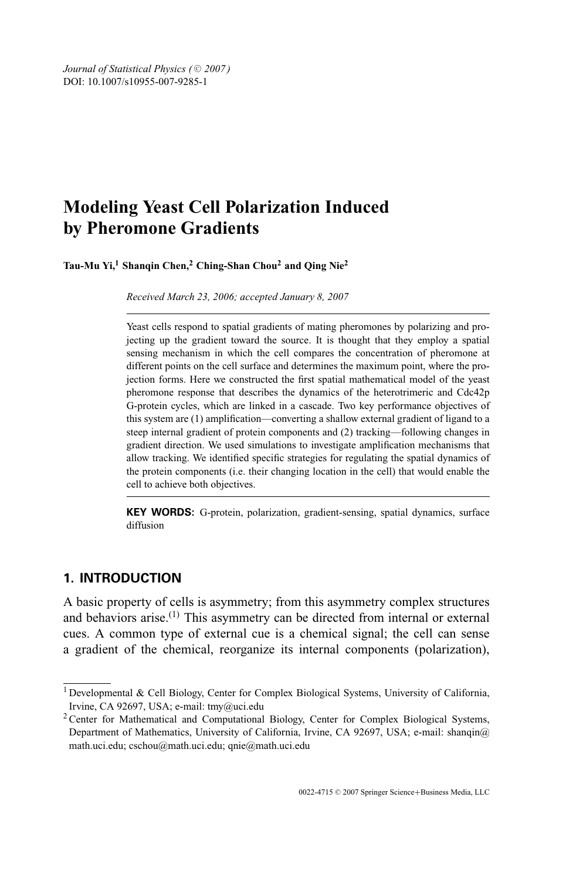*Journal of Statistical Physics (* $© 2007$ *)* DOI: 10.1007/s10955-007-9285-1

# **Modeling Yeast Cell Polarization Induced by Pheromone Gradients**

**Tau-Mu Yi,1 Shanqin Chen,2 Ching-Shan Chou2 and Qing Nie2**

*Received March 23, 2006; accepted January 8, 2007*

Yeast cells respond to spatial gradients of mating pheromones by polarizing and projecting up the gradient toward the source. It is thought that they employ a spatial sensing mechanism in which the cell compares the concentration of pheromone at different points on the cell surface and determines the maximum point, where the projection forms. Here we constructed the first spatial mathematical model of the yeast pheromone response that describes the dynamics of the heterotrimeric and Cdc42p G-protein cycles, which are linked in a cascade. Two key performance objectives of this system are (1) amplification—converting a shallow external gradient of ligand to a steep internal gradient of protein components and (2) tracking—following changes in gradient direction. We used simulations to investigate amplification mechanisms that allow tracking. We identified specific strategies for regulating the spatial dynamics of the protein components (i.e. their changing location in the cell) that would enable the cell to achieve both objectives.

**KEY WORDS:** G-protein, polarization, gradient-sensing, spatial dynamics, surface diffusion

## **1. INTRODUCTION**

A basic property of cells is asymmetry; from this asymmetry complex structures and behaviors arise.<sup>(1)</sup> This asymmetry can be directed from internal or external cues. A common type of external cue is a chemical signal; the cell can sense a gradient of the chemical, reorganize its internal components (polarization),

<sup>1</sup> Developmental & Cell Biology, Center for Complex Biological Systems, University of California, Irvine, CA 92697, USA; e-mail: tmy@uci.edu

<sup>&</sup>lt;sup>2</sup> Center for Mathematical and Computational Biology, Center for Complex Biological Systems, Department of Mathematics, University of California, Irvine, CA 92697, USA; e-mail: shanqin@ math.uci.edu; cschou@math.uci.edu; qnie@math.uci.edu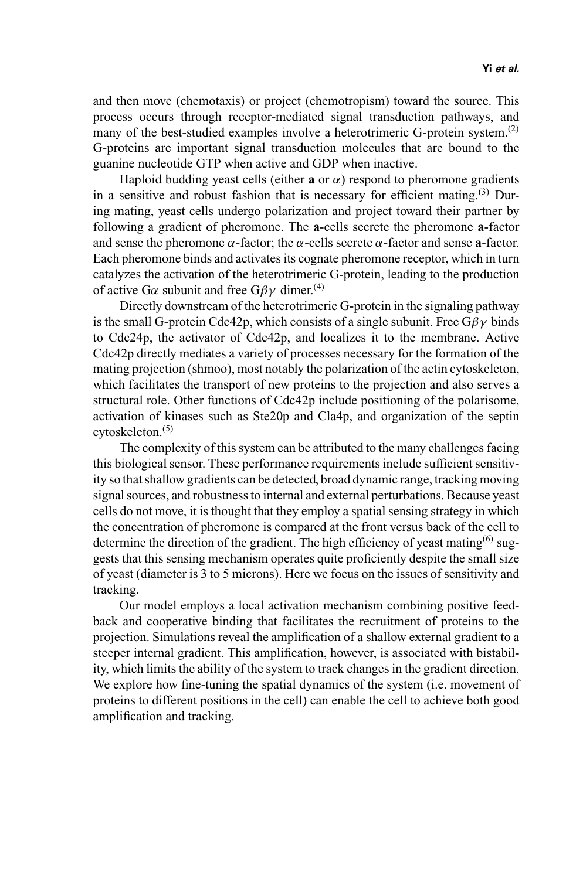and then move (chemotaxis) or project (chemotropism) toward the source. This process occurs through receptor-mediated signal transduction pathways, and many of the best-studied examples involve a heterotrimeric G-protein system.<sup>(2)</sup> G-proteins are important signal transduction molecules that are bound to the guanine nucleotide GTP when active and GDP when inactive.

Haploid budding yeast cells (either **a** or  $\alpha$ ) respond to pheromone gradients in a sensitive and robust fashion that is necessary for efficient mating.<sup>(3)</sup> During mating, yeast cells undergo polarization and project toward their partner by following a gradient of pheromone. The **a**-cells secrete the pheromone **a**-factor and sense the pheromone  $\alpha$ -factor; the  $\alpha$ -cells secrete  $\alpha$ -factor and sense **a**-factor. Each pheromone binds and activates its cognate pheromone receptor, which in turn catalyzes the activation of the heterotrimeric G-protein, leading to the production of active G $\alpha$  subunit and free G $\beta\gamma$  dimer.<sup>(4)</sup>

Directly downstream of the heterotrimeric G-protein in the signaling pathway is the small G-protein Cdc42p, which consists of a single subunit. Free  $G\beta y$  binds to Cdc24p, the activator of Cdc42p, and localizes it to the membrane. Active Cdc42p directly mediates a variety of processes necessary for the formation of the mating projection (shmoo), most notably the polarization of the actin cytoskeleton, which facilitates the transport of new proteins to the projection and also serves a structural role. Other functions of Cdc42p include positioning of the polarisome, activation of kinases such as Ste20p and Cla4p, and organization of the septin  $cv$ toskeleton. $(5)$ 

The complexity of this system can be attributed to the many challenges facing this biological sensor. These performance requirements include sufficient sensitivity so that shallow gradients can be detected, broad dynamic range, tracking moving signal sources, and robustness to internal and external perturbations. Because yeast cells do not move, it is thought that they employ a spatial sensing strategy in which the concentration of pheromone is compared at the front versus back of the cell to determine the direction of the gradient. The high efficiency of yeast mating  $^{(6)}$  suggests that this sensing mechanism operates quite proficiently despite the small size of yeast (diameter is 3 to 5 microns). Here we focus on the issues of sensitivity and tracking.

Our model employs a local activation mechanism combining positive feedback and cooperative binding that facilitates the recruitment of proteins to the projection. Simulations reveal the amplification of a shallow external gradient to a steeper internal gradient. This amplification, however, is associated with bistability, which limits the ability of the system to track changes in the gradient direction. We explore how fine-tuning the spatial dynamics of the system (i.e. movement of proteins to different positions in the cell) can enable the cell to achieve both good amplification and tracking.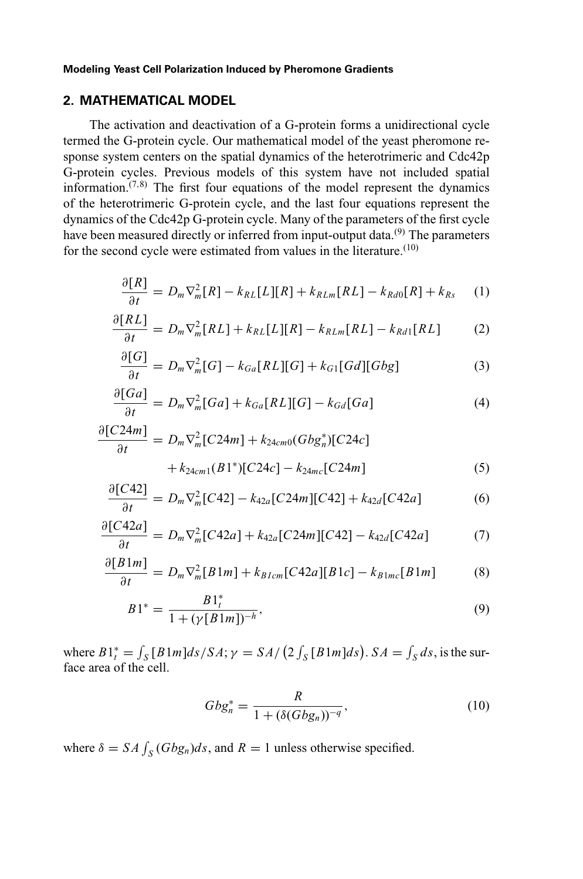### **2. MATHEMATICAL MODEL**

The activation and deactivation of a G-protein forms a unidirectional cycle termed the G-protein cycle. Our mathematical model of the yeast pheromone response system centers on the spatial dynamics of the heterotrimeric and Cdc42p G-protein cycles. Previous models of this system have not included spatial information. $(7,8)$  The first four equations of the model represent the dynamics of the heterotrimeric G-protein cycle, and the last four equations represent the dynamics of the Cdc42p G-protein cycle. Many of the parameters of the first cycle have been measured directly or inferred from input-output data.<sup>(9)</sup> The parameters for the second cycle were estimated from values in the literature.<sup>(10)</sup>

$$
\frac{\partial [R]}{\partial t} = D_m \nabla_m^2 [R] - k_{RL}[L][R] + k_{RLm}[RL] - k_{Rd0}[R] + k_{Rs} \tag{1}
$$

$$
\frac{\partial [RL]}{\partial t} = D_m \nabla_m^2 [RL] + k_{RL}[L][R] - k_{RLm}[RL] - k_{Rd1}[RL] \tag{2}
$$

$$
\frac{\partial [G]}{\partial t} = D_m \nabla_m^2 [G] - k_{Ga}[RL][G] + k_{G1}[Gd][Gbg] \tag{3}
$$

$$
\frac{\partial [Ga]}{\partial t} = D_m \nabla_m^2 [Ga] + k_{Ga}[RL][G] - k_{Gd}[Ga]
$$
\n(4)

$$
\frac{\partial [C24m]}{\partial t} = D_m \nabla_m^2 [C24m] + k_{24cm0} (Gbg_n^*) [C24c] + k_{24cm1} (B1^*) [C24c] - k_{24mc} [C24m]
$$
(5)

$$
\frac{\partial [C42]}{\partial t} = D_m \nabla_m^2 [C42] - k_{42a} [C24m][C42] + k_{42d} [C42a] \tag{6}
$$

$$
\frac{\partial [C42a]}{\partial t} = D_m \nabla_m^2 [C42a] + k_{42a} [C24m][C42] - k_{42d}[C42a] \tag{7}
$$

$$
\frac{\partial [B1m]}{\partial t} = D_m \nabla_m^2 [B1m] + k_{Blcm} [C42a][B1c] - k_{B1mc}[B1m] \tag{8}
$$

$$
B1^* = \frac{B1_t^*}{1 + (\gamma[B1m])^{-h}},\tag{9}
$$

where  $B1_t^* = \int_S [B1m]ds/SA; \gamma = SA / (2 \int_S [B1m]ds)$ .  $SA = \int_S ds$ , is the surface area of the cell.

$$
Gbg_n^* = \frac{R}{1 + (\delta(Gbg_n))^{-q}},
$$
\n(10)

where  $\delta = SA \int_S (G \cdot B g_n) ds$ , and  $R = 1$  unless otherwise specified.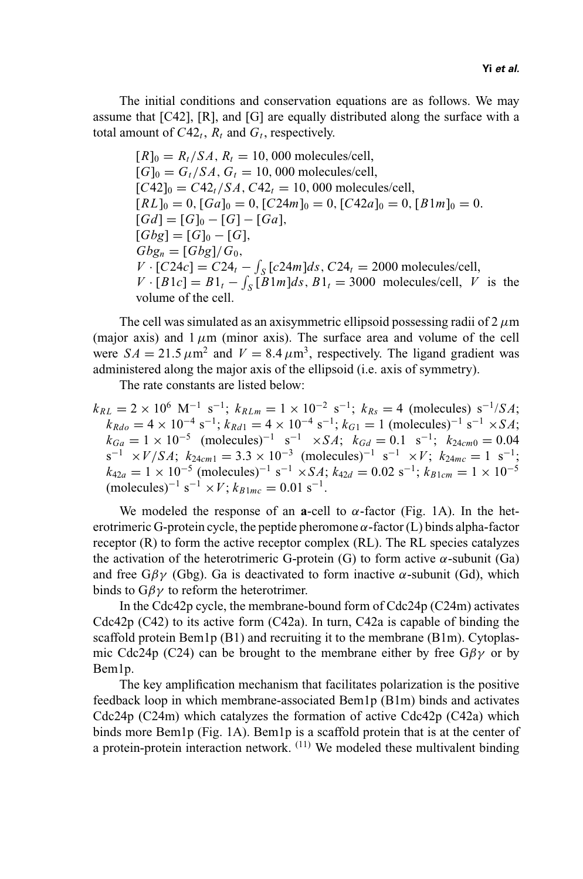The initial conditions and conservation equations are as follows. We may assume that [C42], [R], and [G] are equally distributed along the surface with a total amount of  $C42_t$ ,  $R_t$  and  $G_t$ , respectively.

 $[R]_0 = R_t / SA$ ,  $R_t = 10$ , 000 molecules/cell,  $[G]_0 = G_t/SA, G_t = 10,000$  molecules/cell,  $[C42]_0 = C42_t/SA$ ,  $C42_t = 10$ , 000 molecules/cell,  $[RL]_0 = 0$ ,  $[Ga]_0 = 0$ ,  $[C24m]_0 = 0$ ,  $[C42a]_0 = 0$ ,  $[B1m]_0 = 0$ .  $[Gd] = [G]_0 - [G] - [Ga],$  $[Gbg] = [G]_0 - [G],$  $Gbg_n = \frac{Gbg}{G_0}$ *V* ·  $[C24c] = C24<sub>t</sub> - \int_{S} [c24m]ds$ ,  $C24<sub>t</sub> = 2000$  molecules/cell,  $V \cdot [B1c] = B1_t - \int_S [B1m]ds$ ,  $B1_t = 3000$  molecules/cell, *V* is the volume of the cell.

The cell was simulated as an axisymmetric ellipsoid possessing radii of  $2 \mu m$ (major axis) and  $1 \mu m$  (minor axis). The surface area and volume of the cell were  $SA = 21.5 \mu m^2$  and  $V = 8.4 \mu m^3$ , respectively. The ligand gradient was administered along the major axis of the ellipsoid (i.e. axis of symmetry).

The rate constants are listed below:

 $k_{RL} = 2 \times 10^6$  M<sup>-1</sup> s<sup>-1</sup>;  $k_{RLm} = 1 \times 10^{-2}$  s<sup>-1</sup>;  $k_{Rs} = 4$  (molecules) s<sup>-1</sup>/*SA*;  $k_{Rdo} = 4 \times 10^{-4} \text{ s}^{-1}$ ;  $k_{Rd1} = 4 \times 10^{-4} \text{ s}^{-1}$ ;  $k_{G1} = 1 \text{ (molecules)}^{-1} \text{ s}^{-1} \times SA$ ;  $k_{Ga} = 1 \times 10^{-5}$  (molecules)<sup>-1</sup> s<sup>-1</sup> ×*SA*;  $k_{Gd} = 0.1$  s<sup>-1</sup>;  $k_{24cm0} = 0.04$  $s^{-1} \times V/SA$ ;  $k_{24cm1} = 3.3 \times 10^{-3}$  (molecules)<sup>-1</sup>  $s^{-1} \times V$ ;  $k_{24mc} = 1$   $s^{-1}$ ;  $k_{42a} = 1 \times 10^{-5}$  (molecules)<sup>-1</sup> s<sup>-1</sup> ×*SA*;  $k_{42d} = 0.02$  s<sup>-1</sup>;  $k_{B1cm} = 1 \times 10^{-5}$  $(molecules)^{-1}$  s<sup>-1</sup> × *V*;  $k_{B1mc} = 0.01$  s<sup>-1</sup>.

We modeled the response of an **a**-cell to  $\alpha$ -factor (Fig. 1A). In the heterotrimeric G-protein cycle, the peptide pheromone  $\alpha$ -factor (L) binds alpha-factor receptor (R) to form the active receptor complex (RL). The RL species catalyzes the activation of the heterotrimeric G-protein (G) to form active  $\alpha$ -subunit (Ga) and free  $G\beta\gamma$  (Gbg). Ga is deactivated to form inactive  $\alpha$ -subunit (Gd), which binds to  $G\beta\gamma$  to reform the heterotrimer.

In the Cdc42p cycle, the membrane-bound form of  $Cdc24p (C24m)$  activates Cdc42p (C42) to its active form (C42a). In turn, C42a is capable of binding the scaffold protein Bem1p (B1) and recruiting it to the membrane (B1m). Cytoplasmic Cdc24p (C24) can be brought to the membrane either by free  $G\beta\gamma$  or by Bem1p.

The key amplification mechanism that facilitates polarization is the positive feedback loop in which membrane-associated Bem1p (B1m) binds and activates Cdc24p (C24m) which catalyzes the formation of active Cdc42p (C42a) which binds more Bem1p (Fig. 1A). Bem1p is a scaffold protein that is at the center of a protein-protein interaction network.  $(11)$  We modeled these multivalent binding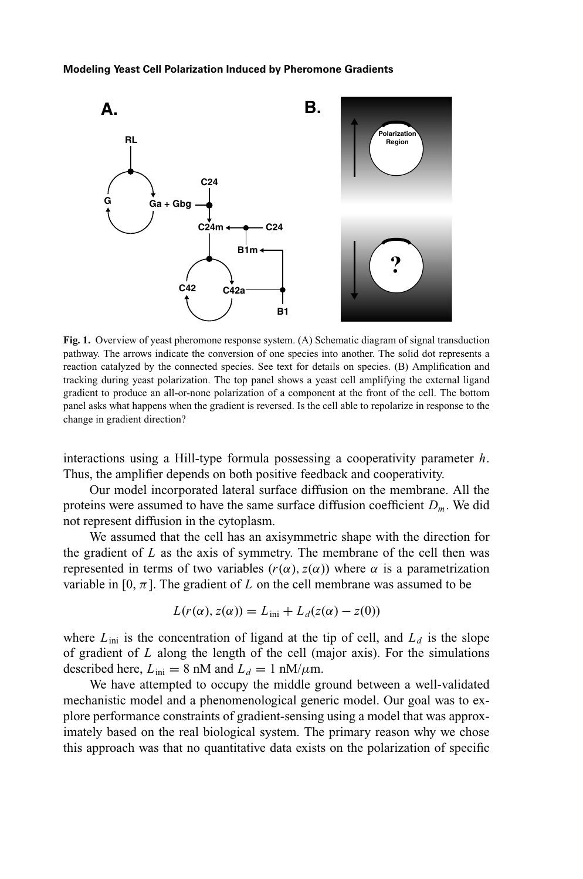

Fig. 1. Overview of yeast pheromone response system. (A) Schematic diagram of signal transduction pathway. The arrows indicate the conversion of one species into another. The solid dot represents a reaction catalyzed by the connected species. See text for details on species. (B) Amplification and tracking during yeast polarization. The top panel shows a yeast cell amplifying the external ligand gradient to produce an all-or-none polarization of a component at the front of the cell. The bottom panel asks what happens when the gradient is reversed. Is the cell able to repolarize in response to the change in gradient direction?

interactions using a Hill-type formula possessing a cooperativity parameter *h*. Thus, the amplifier depends on both positive feedback and cooperativity.

Our model incorporated lateral surface diffusion on the membrane. All the proteins were assumed to have the same surface diffusion coefficient *Dm*. We did not represent diffusion in the cytoplasm.

We assumed that the cell has an axisymmetric shape with the direction for the gradient of *L* as the axis of symmetry. The membrane of the cell then was represented in terms of two variables (*r*(α),*z*(α)) where α is a parametrization variable in [0,  $\pi$ ]. The gradient of *L* on the cell membrane was assumed to be

$$
L(r(\alpha), z(\alpha)) = L_{\text{ini}} + L_d(z(\alpha) - z(0))
$$

where  $L_{\text{ini}}$  is the concentration of ligand at the tip of cell, and  $L_d$  is the slope of gradient of *L* along the length of the cell (major axis). For the simulations described here,  $L_{\text{ini}} = 8 \text{ nM}$  and  $L_d = 1 \text{ nM/m}$ .

We have attempted to occupy the middle ground between a well-validated mechanistic model and a phenomenological generic model. Our goal was to explore performance constraints of gradient-sensing using a model that was approximately based on the real biological system. The primary reason why we chose this approach was that no quantitative data exists on the polarization of specific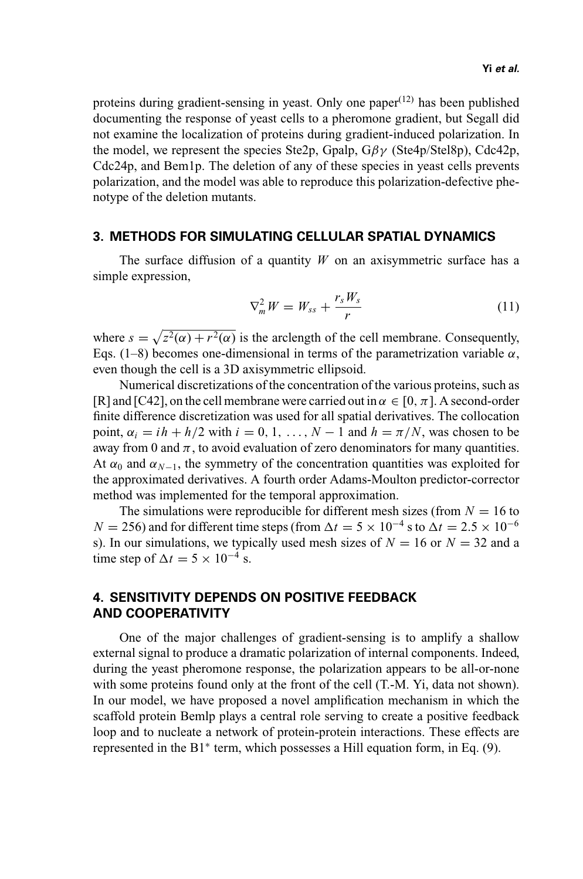proteins during gradient-sensing in yeast. Only one paper<sup> $(12)$ </sup> has been published documenting the response of yeast cells to a pheromone gradient, but Segall did not examine the localization of proteins during gradient-induced polarization. In the model, we represent the species Ste2p, Gpalp,  $G\beta\gamma$  (Ste4p/Stel8p), Cdc42p, Cdc24p, and Bem1p. The deletion of any of these species in yeast cells prevents polarization, and the model was able to reproduce this polarization-defective phenotype of the deletion mutants.

### **3. METHODS FOR SIMULATING CELLULAR SPATIAL DYNAMICS**

The surface diffusion of a quantity *W* on an axisymmetric surface has a simple expression,

$$
\nabla_m^2 W = W_{ss} + \frac{r_s W_s}{r} \tag{11}
$$

where  $s = \sqrt{z^2(\alpha) + r^2(\alpha)}$  is the arclength of the cell membrane. Consequently, Eqs. (1–8) becomes one-dimensional in terms of the parametrization variable  $\alpha$ , even though the cell is a 3D axisymmetric ellipsoid.

Numerical discretizations of the concentration of the various proteins, such as [R] and [C42], on the cell membrane were carried out in  $\alpha \in [0, \pi]$ . A second-order finite difference discretization was used for all spatial derivatives. The collocation point,  $\alpha_i = ih + h/2$  with  $i = 0, 1, ..., N - 1$  and  $h = \pi/N$ , was chosen to be away from 0 and  $\pi$ , to avoid evaluation of zero denominators for many quantities. At  $\alpha_0$  and  $\alpha_{N-1}$ , the symmetry of the concentration quantities was exploited for the approximated derivatives. A fourth order Adams-Moulton predictor-corrector method was implemented for the temporal approximation.

The simulations were reproducible for different mesh sizes (from  $N = 16$  to  $N = 256$ ) and for different time steps (from  $\Delta t = 5 \times 10^{-4}$  s to  $\Delta t = 2.5 \times 10^{-6}$ s). In our simulations, we typically used mesh sizes of  $N = 16$  or  $N = 32$  and a time step of  $\Delta t = 5 \times 10^{-4}$  s.

# **4. SENSITIVITY DEPENDS ON POSITIVE FEEDBACK AND COOPERATIVITY**

One of the major challenges of gradient-sensing is to amplify a shallow external signal to produce a dramatic polarization of internal components. Indeed, during the yeast pheromone response, the polarization appears to be all-or-none with some proteins found only at the front of the cell (T.-M. Yi, data not shown). In our model, we have proposed a novel amplification mechanism in which the scaffold protein Bemlp plays a central role serving to create a positive feedback loop and to nucleate a network of protein-protein interactions. These effects are represented in the B1<sup>∗</sup> term, which possesses a Hill equation form, in Eq. (9).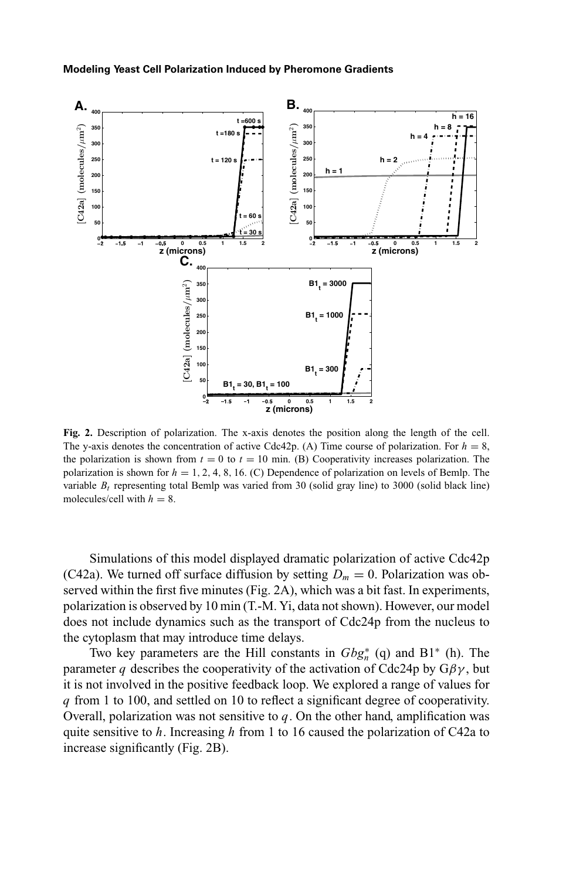

**Fig. 2.** Description of polarization. The x-axis denotes the position along the length of the cell. The y-axis denotes the concentration of active Cdc42p. (A) Time course of polarization. For  $h = 8$ , the polarization is shown from  $t = 0$  to  $t = 10$  min. (B) Cooperativity increases polarization. The polarization is shown for *h* = 1, 2, 4, 8, 16. (C) Dependence of polarization on levels of Bemlp. The variable  $B_t$  representing total Bemlp was varied from 30 (solid gray line) to 3000 (solid black line) molecules/cell with  $h = 8$ .

Simulations of this model displayed dramatic polarization of active Cdc42p (C42a). We turned off surface diffusion by setting  $D_m = 0$ . Polarization was observed within the first five minutes (Fig. 2A), which was a bit fast. In experiments, polarization is observed by 10 min (T.-M. Yi, data not shown). However, our model does not include dynamics such as the transport of Cdc24p from the nucleus to the cytoplasm that may introduce time delays.

Two key parameters are the Hill constants in  $Gbg_n^*$  (q) and B1<sup>∗</sup> (h). The parameter *q* describes the cooperativity of the activation of Cdc24p by  $G\beta\gamma$ , but it is not involved in the positive feedback loop. We explored a range of values for *q* from 1 to 100, and settled on 10 to reflect a significant degree of cooperativity. Overall, polarization was not sensitive to  $q$ . On the other hand, amplification was quite sensitive to *h*. Increasing *h* from 1 to 16 caused the polarization of C42a to increase significantly (Fig. 2B).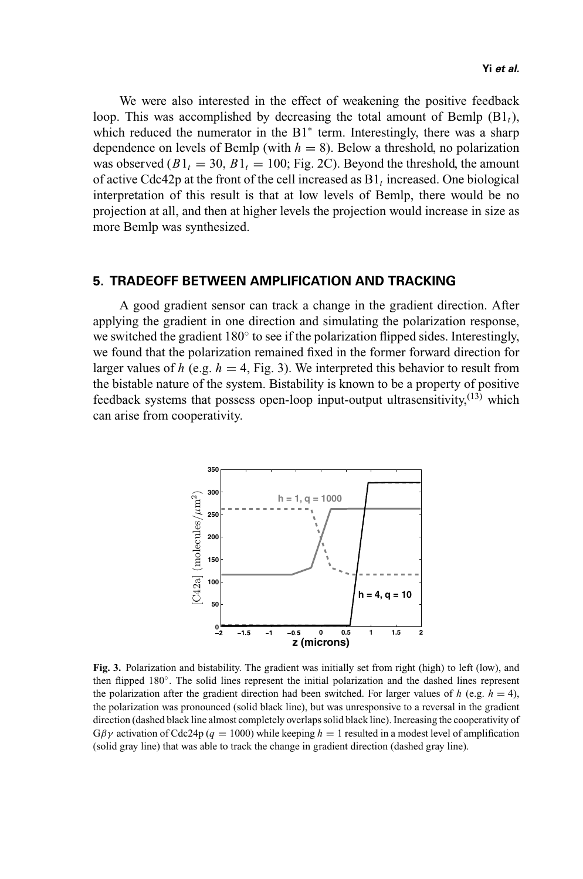We were also interested in the effect of weakening the positive feedback loop. This was accomplished by decreasing the total amount of Bemlp (B1*t*), which reduced the numerator in the  $B1*$  term. Interestingly, there was a sharp dependence on levels of Bemlp (with  $h = 8$ ). Below a threshold, no polarization was observed  $(B1_t = 30, B1_t = 100$ ; Fig. 2C). Beyond the threshold, the amount of active Cdc42p at the front of the cell increased as B1*<sup>t</sup>* increased. One biological interpretation of this result is that at low levels of Bemlp, there would be no projection at all, and then at higher levels the projection would increase in size as more Bemlp was synthesized.

## **5. TRADEOFF BETWEEN AMPLIFICATION AND TRACKING**

A good gradient sensor can track a change in the gradient direction. After applying the gradient in one direction and simulating the polarization response, we switched the gradient  $180°$  to see if the polarization flipped sides. Interestingly, we found that the polarization remained fixed in the former forward direction for larger values of *h* (e.g.  $h = 4$ , Fig. 3). We interpreted this behavior to result from the bistable nature of the system. Bistability is known to be a property of positive feedback systems that possess open-loop input-output ultrasensitivity, $(13)$  which can arise from cooperativity.



**Fig. 3.** Polarization and bistability. The gradient was initially set from right (high) to left (low), and then flipped 180◦. The solid lines represent the initial polarization and the dashed lines represent the polarization after the gradient direction had been switched. For larger values of  $h$  (e.g.  $h = 4$ ), the polarization was pronounced (solid black line), but was unresponsive to a reversal in the gradient direction (dashed black line almost completely overlaps solid black line). Increasing the cooperativity of  $G\beta\gamma$  activation of Cdc24p ( $q = 1000$ ) while keeping  $h = 1$  resulted in a modest level of amplification (solid gray line) that was able to track the change in gradient direction (dashed gray line).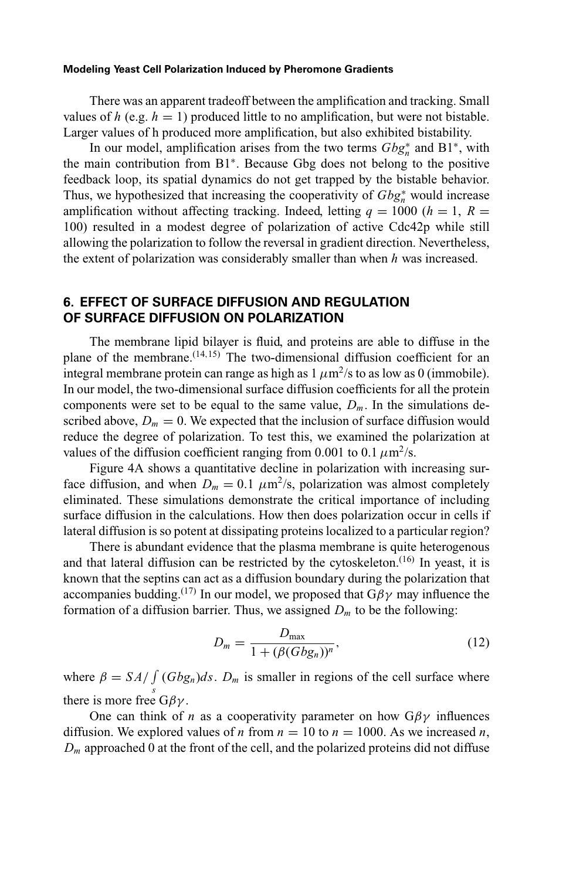There was an apparent tradeoff between the amplification and tracking. Small values of *h* (e.g.  $h = 1$ ) produced little to no amplification, but were not bistable. Larger values of h produced more amplification, but also exhibited bistability.

In our model, amplification arises from the two terms *Gbg*<sup>∗</sup> *<sup>n</sup>* and B1∗, with the main contribution from B1∗. Because Gbg does not belong to the positive feedback loop, its spatial dynamics do not get trapped by the bistable behavior. Thus, we hypothesized that increasing the cooperativity of *Gbg*<sup>∗</sup> *<sup>n</sup>* would increase amplification without affecting tracking. Indeed, letting  $q = 1000$  ( $h = 1$ ,  $R =$ 100) resulted in a modest degree of polarization of active Cdc42p while still allowing the polarization to follow the reversal in gradient direction. Nevertheless, the extent of polarization was considerably smaller than when *h* was increased.

# **6. EFFECT OF SURFACE DIFFUSION AND REGULATION OF SURFACE DIFFUSION ON POLARIZATION**

The membrane lipid bilayer is fluid, and proteins are able to diffuse in the plane of the membrane. $(14,15)$  The two-dimensional diffusion coefficient for an integral membrane protein can range as high as  $1 \mu m^2$ /s to as low as 0 (immobile). In our model, the two-dimensional surface diffusion coefficients for all the protein components were set to be equal to the same value,  $D_m$ . In the simulations described above,  $D_m = 0$ . We expected that the inclusion of surface diffusion would reduce the degree of polarization. To test this, we examined the polarization at values of the diffusion coefficient ranging from 0.001 to 0.1  $\mu$ m<sup>2</sup>/s.

Figure 4A shows a quantitative decline in polarization with increasing surface diffusion, and when  $D_m = 0.1 \ \mu \text{m}^2/\text{s}$ , polarization was almost completely eliminated. These simulations demonstrate the critical importance of including surface diffusion in the calculations. How then does polarization occur in cells if lateral diffusion is so potent at dissipating proteins localized to a particular region?

There is abundant evidence that the plasma membrane is quite heterogenous and that lateral diffusion can be restricted by the cytoskeleton.<sup> $(16)$ </sup> In yeast, it is known that the septins can act as a diffusion boundary during the polarization that accompanies budding.<sup>(17)</sup> In our model, we proposed that  $G\beta\gamma$  may influence the formation of a diffusion barrier. Thus, we assigned  $D<sub>m</sub>$  to be the following:

$$
D_m = \frac{D_{\text{max}}}{1 + (\beta (Gb g_n))^n},\tag{12}
$$

where  $\beta = S_A / \int (Gb g_n) ds$ .  $D_m$  is smaller in regions of the cell surface where there is more free  $G\beta\gamma$ .

One can think of *n* as a cooperativity parameter on how  $G\beta\gamma$  influences diffusion. We explored values of *n* from  $n = 10$  to  $n = 1000$ . As we increased *n*,  $D_m$  approached 0 at the front of the cell, and the polarized proteins did not diffuse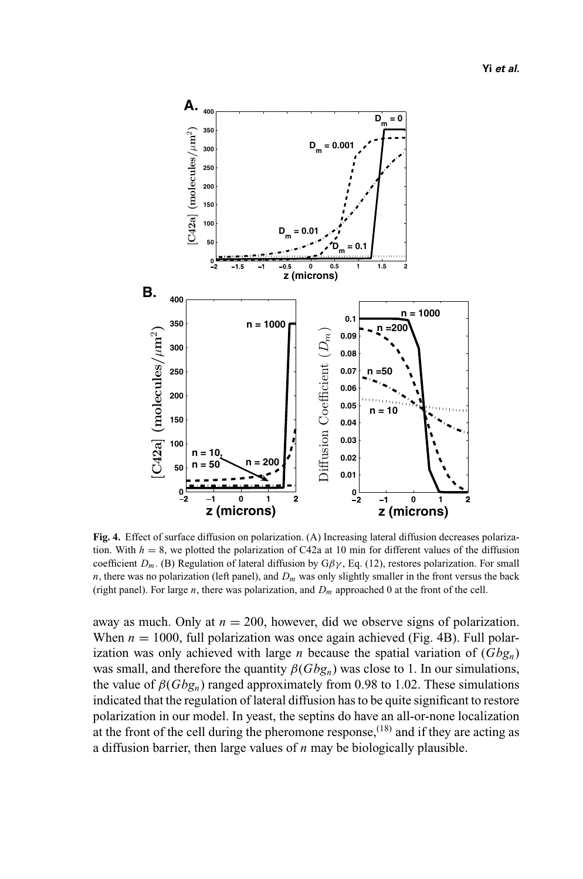

**Fig. 4.** Effect of surface diffusion on polarization. (A) Increasing lateral diffusion decreases polarization. With  $h = 8$ , we plotted the polarization of C42a at 10 min for different values of the diffusion coefficient  $D_m$ . (B) Regulation of lateral diffusion by  $G\beta\gamma$ , Eq. (12), restores polarization. For small  $n$ , there was no polarization (left panel), and  $D_m$  was only slightly smaller in the front versus the back (right panel). For large *n*, there was polarization, and *Dm* approached 0 at the front of the cell.

away as much. Only at  $n = 200$ , however, did we observe signs of polarization. When  $n = 1000$ , full polarization was once again achieved (Fig. 4B). Full polarization was only achieved with large *n* because the spatial variation of  $(Gbg_n)$ was small, and therefore the quantity  $\beta(Gbg_n)$  was close to 1. In our simulations, the value of  $\beta(Gbg_n)$  ranged approximately from 0.98 to 1.02. These simulations indicated that the regulation of lateral diffusion has to be quite significant to restore polarization in our model. In yeast, the septins do have an all-or-none localization at the front of the cell during the pheromone response,<sup> $(18)$ </sup> and if they are acting as a diffusion barrier, then large values of *n* may be biologically plausible.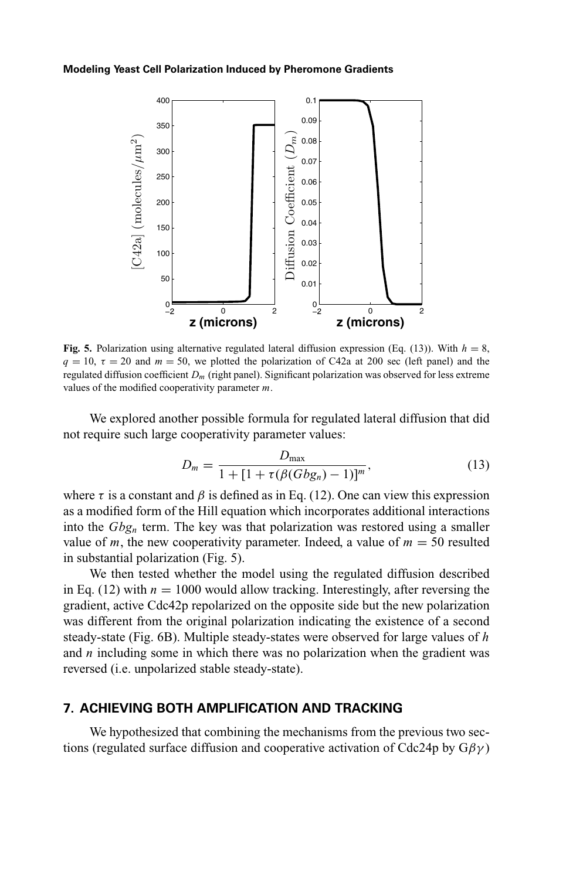

**Fig. 5.** Polarization using alternative regulated lateral diffusion expression (Eq. (13)). With  $h = 8$ ,  $q = 10$ ,  $\tau = 20$  and  $m = 50$ , we plotted the polarization of C42a at 200 sec (left panel) and the regulated diffusion coefficient *Dm* (right panel). Significant polarization was observed for less extreme values of the modified cooperativity parameter *m*.

We explored another possible formula for regulated lateral diffusion that did not require such large cooperativity parameter values:

$$
D_m = \frac{D_{\max}}{1 + [1 + \tau(\beta(Gbg_n) - 1)]^m},
$$
\n(13)

where  $\tau$  is a constant and  $\beta$  is defined as in Eq. (12). One can view this expression as a modified form of the Hill equation which incorporates additional interactions into the *Gbgn* term. The key was that polarization was restored using a smaller value of *m*, the new cooperativity parameter. Indeed, a value of  $m = 50$  resulted in substantial polarization (Fig. 5).

We then tested whether the model using the regulated diffusion described in Eq. (12) with  $n = 1000$  would allow tracking. Interestingly, after reversing the gradient, active Cdc42p repolarized on the opposite side but the new polarization was different from the original polarization indicating the existence of a second steady-state (Fig. 6B). Multiple steady-states were observed for large values of *h* and *n* including some in which there was no polarization when the gradient was reversed (i.e. unpolarized stable steady-state).

### **7. ACHIEVING BOTH AMPLIFICATION AND TRACKING**

We hypothesized that combining the mechanisms from the previous two sections (regulated surface diffusion and cooperative activation of Cdc24p by  $G\beta\gamma$ )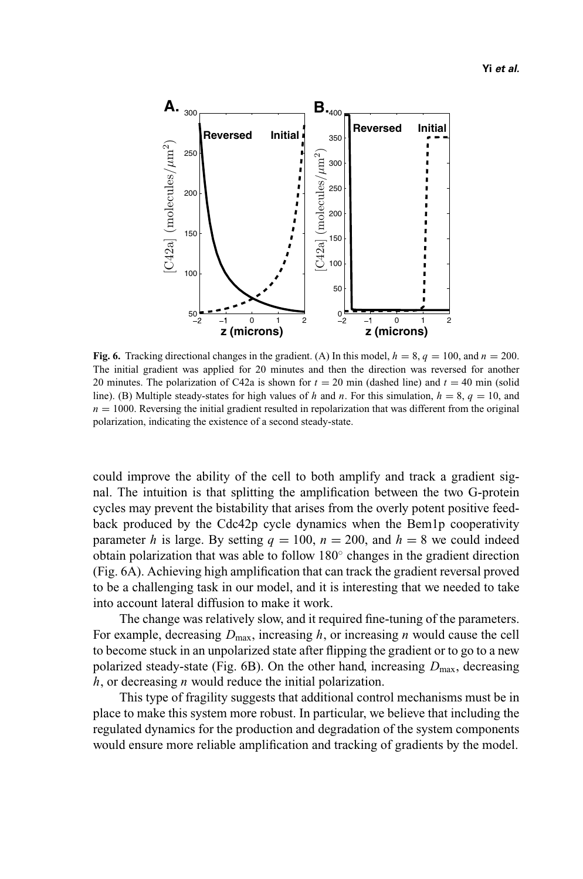

**Fig. 6.** Tracking directional changes in the gradient. (A) In this model,  $h = 8$ ,  $q = 100$ , and  $n = 200$ . The initial gradient was applied for 20 minutes and then the direction was reversed for another 20 minutes. The polarization of C42a is shown for  $t = 20$  min (dashed line) and  $t = 40$  min (solid line). (B) Multiple steady-states for high values of *h* and *n*. For this simulation,  $h = 8$ ,  $q = 10$ , and  $n = 1000$ . Reversing the initial gradient resulted in repolarization that was different from the original polarization, indicating the existence of a second steady-state.

could improve the ability of the cell to both amplify and track a gradient signal. The intuition is that splitting the amplification between the two G-protein cycles may prevent the bistability that arises from the overly potent positive feedback produced by the Cdc42p cycle dynamics when the Bem1p cooperativity parameter *h* is large. By setting  $q = 100$ ,  $n = 200$ , and  $h = 8$  we could indeed obtain polarization that was able to follow 180◦ changes in the gradient direction (Fig. 6A). Achieving high amplification that can track the gradient reversal proved to be a challenging task in our model, and it is interesting that we needed to take into account lateral diffusion to make it work.

The change was relatively slow, and it required fine-tuning of the parameters. For example, decreasing  $D_{\text{max}}$ , increasing *h*, or increasing *n* would cause the cell to become stuck in an unpolarized state after flipping the gradient or to go to a new polarized steady-state (Fig.  $6B$ ). On the other hand, increasing  $D_{\text{max}}$ , decreasing *h*, or decreasing *n* would reduce the initial polarization.

This type of fragility suggests that additional control mechanisms must be in place to make this system more robust. In particular, we believe that including the regulated dynamics for the production and degradation of the system components would ensure more reliable amplification and tracking of gradients by the model.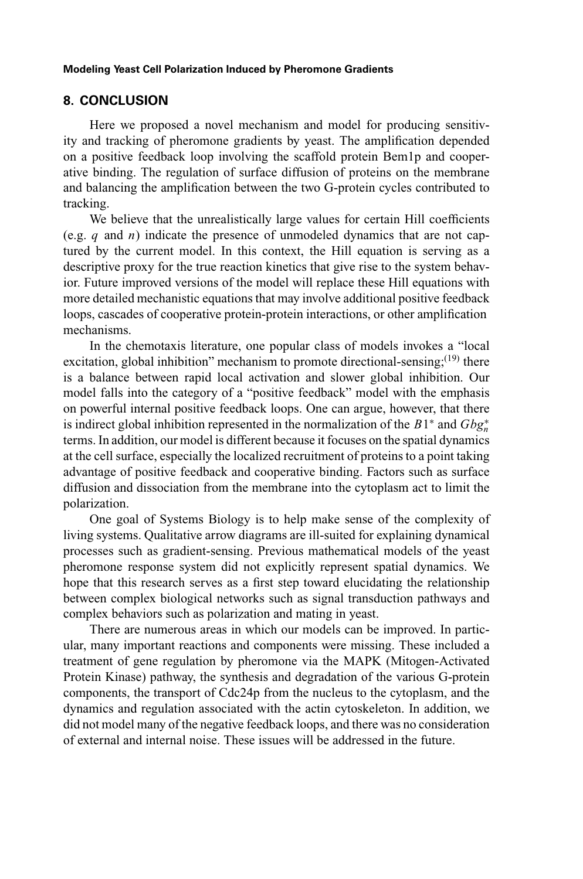### **8. CONCLUSION**

Here we proposed a novel mechanism and model for producing sensitivity and tracking of pheromone gradients by yeast. The amplification depended on a positive feedback loop involving the scaffold protein Bem1p and cooperative binding. The regulation of surface diffusion of proteins on the membrane and balancing the amplification between the two G-protein cycles contributed to tracking.

We believe that the unrealistically large values for certain Hill coefficients (e.g. *q* and *n*) indicate the presence of unmodeled dynamics that are not captured by the current model. In this context, the Hill equation is serving as a descriptive proxy for the true reaction kinetics that give rise to the system behavior. Future improved versions of the model will replace these Hill equations with more detailed mechanistic equations that may involve additional positive feedback loops, cascades of cooperative protein-protein interactions, or other amplification mechanisms.

In the chemotaxis literature, one popular class of models invokes a "local excitation, global inhibition" mechanism to promote directional-sensing; $(19)$  there is a balance between rapid local activation and slower global inhibition. Our model falls into the category of a "positive feedback" model with the emphasis on powerful internal positive feedback loops. One can argue, however, that there is indirect global inhibition represented in the normalization of the  $B1^*$  and  $Gbg_n^*$ terms. In addition, our model is different because it focuses on the spatial dynamics at the cell surface, especially the localized recruitment of proteins to a point taking advantage of positive feedback and cooperative binding. Factors such as surface diffusion and dissociation from the membrane into the cytoplasm act to limit the polarization.

One goal of Systems Biology is to help make sense of the complexity of living systems. Qualitative arrow diagrams are ill-suited for explaining dynamical processes such as gradient-sensing. Previous mathematical models of the yeast pheromone response system did not explicitly represent spatial dynamics. We hope that this research serves as a first step toward elucidating the relationship between complex biological networks such as signal transduction pathways and complex behaviors such as polarization and mating in yeast.

There are numerous areas in which our models can be improved. In particular, many important reactions and components were missing. These included a treatment of gene regulation by pheromone via the MAPK (Mitogen-Activated Protein Kinase) pathway, the synthesis and degradation of the various G-protein components, the transport of Cdc24p from the nucleus to the cytoplasm, and the dynamics and regulation associated with the actin cytoskeleton. In addition, we did not model many of the negative feedback loops, and there was no consideration of external and internal noise. These issues will be addressed in the future.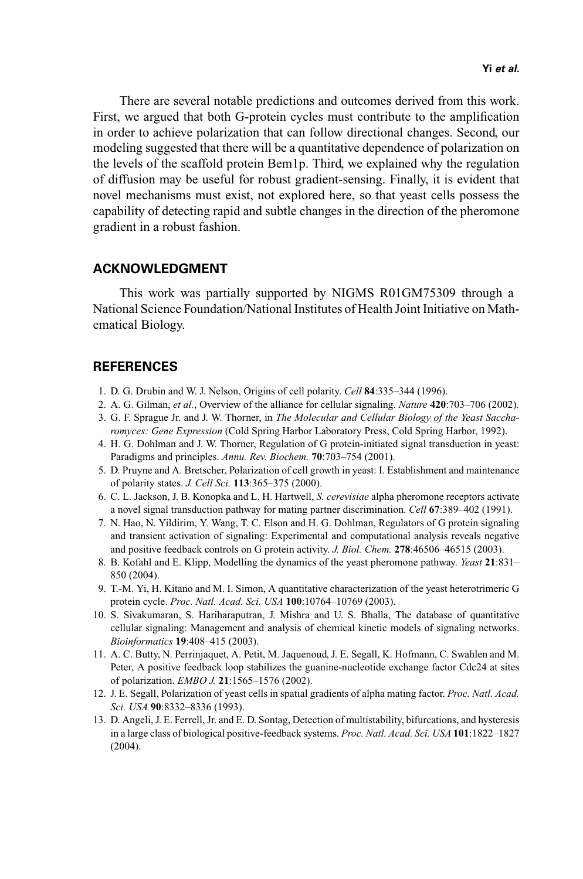There are several notable predictions and outcomes derived from this work. First, we argued that both G-protein cycles must contribute to the amplification in order to achieve polarization that can follow directional changes. Second, our modeling suggested that there will be a quantitative dependence of polarization on the levels of the scaffold protein Bem1p. Third, we explained why the regulation of diffusion may be useful for robust gradient-sensing. Finally, it is evident that novel mechanisms must exist, not explored here, so that yeast cells possess the capability of detecting rapid and subtle changes in the direction of the pheromone gradient in a robust fashion.

## **ACKNOWLEDGMENT**

This work was partially supported by NIGMS R01GM75309 through a National Science Foundation/National Institutes of Health Joint Initiative on Mathematical Biology.

# **REFERENCES**

- 1. D. G. Drubin and W. J. Nelson, Origins of cell polarity. *Cell* **84**:335–344 (1996).
- 2. A. G. Gilman, *et al.*, Overview of the alliance for cellular signaling. *Nature* **420**:703–706 (2002).
- 3. G. F. Sprague Jr. and J. W. Thorner, in *The Molecular and Cellular Biology of the Yeast Saccharomyces: Gene Expression* (Cold Spring Harbor Laboratory Press, Cold Spring Harbor, 1992).
- 4. H. G. Dohlman and J. W. Thorner, Regulation of G protein-initiated signal transduction in yeast: Paradigms and principles. *Annu. Rev. Biochem.* **70**:703–754 (2001).
- 5. D. Pruyne and A. Bretscher, Polarization of cell growth in yeast: I. Establishment and maintenance of polarity states. *J. Cell Sci.* **113**:365–375 (2000).
- 6. C. L. Jackson, J. B. Konopka and L. H. Hartwell, *S. cerevisiae* alpha pheromone receptors activate a novel signal transduction pathway for mating partner discrimination. *Cell* **67**:389–402 (1991).
- 7. N. Hao, N. Yildirim, Y. Wang, T. C. Elson and H. G. Dohlman, Regulators of G protein signaling and transient activation of signaling: Experimental and computational analysis reveals negative and positive feedback controls on G protein activity. *J. Biol. Chem.* **278**:46506–46515 (2003).
- 8. B. Kofahl and E. Klipp, Modelling the dynamics of the yeast pheromone pathway. *Yeast* **21**:831– 850 (2004).
- 9. T.-M. Yi, H. Kitano and M. I. Simon, A quantitative characterization of the yeast heterotrimeric G protein cycle. *Proc. Natl. Acad. Sci. USA* **100**:10764–10769 (2003).
- 10. S. Sivakumaran, S. Hariharaputran, J. Mishra and U. S. Bhalla, The database of quantitative cellular signaling: Management and analysis of chemical kinetic models of signaling networks. *Bioinformatics* **19**:408–415 (2003).
- 11. A. C. Butty, N. Perrinjaquet, A. Petit, M. Jaquenoud, J. E. Segall, K. Hofmann, C. Swahlen and M. Peter, A positive feedback loop stabilizes the guanine-nucleotide exchange factor Cdc24 at sites of polarization. *EMBO J.* **21**:1565–1576 (2002).
- 12. J. E. Segall, Polarization of yeast cells in spatial gradients of alpha mating factor. *Proc. Natl. Acad. Sci. USA* **90**:8332–8336 (1993).
- 13. D. Angeli, J. E. Ferrell, Jr. and E. D. Sontag, Detection of multistability, bifurcations, and hysteresis in a large class of biological positive-feedback systems. *Proc. Natl. Acad. Sci. USA* **101**:1822–1827 (2004).